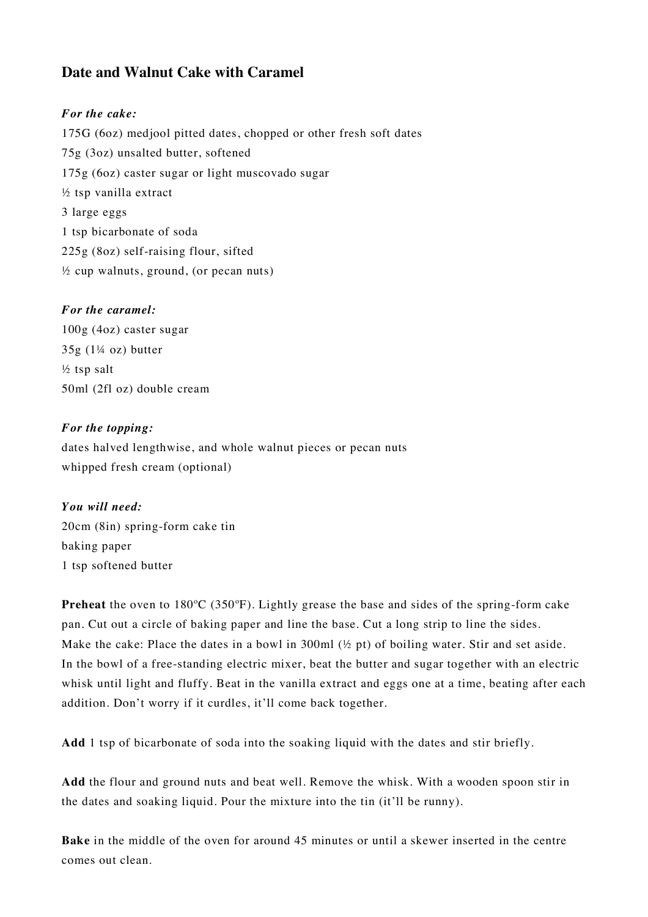## **Date and Walnut Cake with Caramel**

## *For the cake:*

175G (6oz) medjool pitted dates, chopped or other fresh soft dates 75g (3oz) unsalted butter, softened 175g (6oz) caster sugar or light muscovado sugar ½ tsp vanilla extract 3 large eggs 1 tsp bicarbonate of soda 225g (8oz) self-raising flour, sifted  $\frac{1}{2}$  cup walnuts, ground, (or pecan nuts)

## *For the caramel:*

100g (4oz) caster sugar  $35g$  (1¼ oz) butter ½ tsp salt 50ml (2fl oz) double cream

## *For the topping:*

dates halved lengthwise, and whole walnut pieces or pecan nuts whipped fresh cream (optional)

*You will need:* 20cm (8in) spring-form cake tin baking paper 1 tsp softened butter

**Preheat** the oven to 180ºC (350ºF). Lightly grease the base and sides of the spring-form cake pan. Cut out a circle of baking paper and line the base. Cut a long strip to line the sides. Make the cake: Place the dates in a bowl in 300ml (½ pt) of boiling water. Stir and set aside. In the bowl of a free-standing electric mixer, beat the butter and sugar together with an electric whisk until light and fluffy. Beat in the vanilla extract and eggs one at a time, beating after each addition. Don't worry if it curdles, it'll come back together.

**Add** 1 tsp of bicarbonate of soda into the soaking liquid with the dates and stir briefly.

**Add** the flour and ground nuts and beat well. Remove the whisk. With a wooden spoon stir in the dates and soaking liquid. Pour the mixture into the tin (it'll be runny).

**Bake** in the middle of the oven for around 45 minutes or until a skewer inserted in the centre comes out clean.